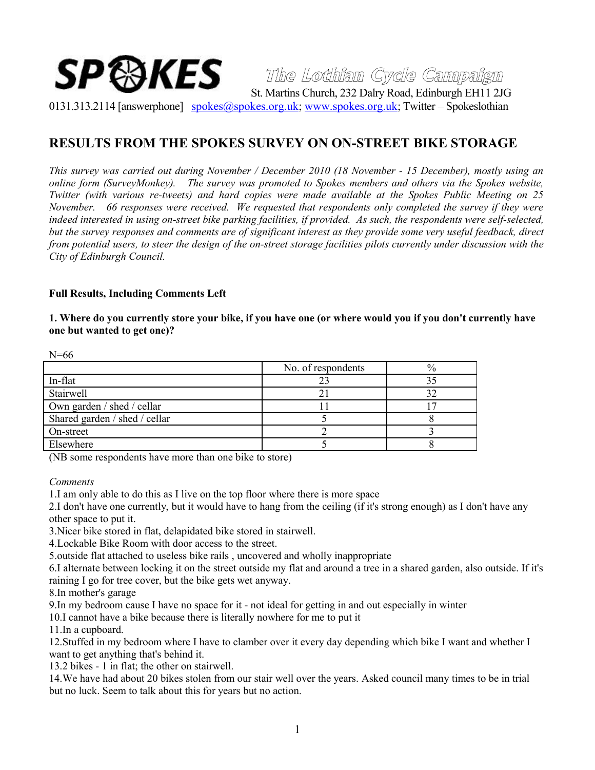# **The Lothian Cycle Campaign**  ${\bf SP}\mathbb{S}$ KES  $\mathbb{S}_{\rm St. \, Martins \, Church. \, 232 \, Dalry\, Road. \, Edinburgh \, EH11\, 2JG}$

0131.313.2114 [answerphone] [spokes@spokes.org.uk;](mailto:spokes@spokes.org.uk) [www.spokes.org.uk;](http://www.spokes.org.uk/) Twitter – Spokeslothian

# **RESULTS FROM THE SPOKES SURVEY ON ON-STREET BIKE STORAGE**

*This survey was carried out during November / December 2010 (18 November - 15 December), mostly using an online form (SurveyMonkey). The survey was promoted to Spokes members and others via the Spokes website, Twitter (with various re-tweets) and hard copies were made available at the Spokes Public Meeting on 25 November. 66 responses were received. We requested that respondents only completed the survey if they were indeed interested in using on-street bike parking facilities, if provided. As such, the respondents were self-selected, but the survey responses and comments are of significant interest as they provide some very useful feedback, direct from potential users, to steer the design of the on-street storage facilities pilots currently under discussion with the City of Edinburgh Council.*

#### **Full Results, Including Comments Left**

# **1. Where do you currently store your bike, if you have one (or where would you if you don't currently have one but wanted to get one)?**

| $19 - 00$                     |                    |      |
|-------------------------------|--------------------|------|
|                               | No. of respondents | $\%$ |
| In-flat                       | 23                 |      |
| Stairwell                     |                    |      |
| Own garden / shed / cellar    |                    |      |
| Shared garden / shed / cellar |                    |      |
| On-street                     |                    |      |
| Elsewhere                     |                    |      |

(NB some respondents have more than one bike to store)

*Comments*

 $N=66$ 

1.I am only able to do this as I live on the top floor where there is more space

2.I don't have one currently, but it would have to hang from the ceiling (if it's strong enough) as I don't have any other space to put it.

3.Nicer bike stored in flat, delapidated bike stored in stairwell.

4.Lockable Bike Room with door access to the street.

5.outside flat attached to useless bike rails , uncovered and wholly inappropriate

6.I alternate between locking it on the street outside my flat and around a tree in a shared garden, also outside. If it's raining I go for tree cover, but the bike gets wet anyway.

8.In mother's garage

9.In my bedroom cause I have no space for it - not ideal for getting in and out especially in winter

10.I cannot have a bike because there is literally nowhere for me to put it

11.In a cupboard.

12.Stuffed in my bedroom where I have to clamber over it every day depending which bike I want and whether I want to get anything that's behind it.

13.2 bikes - 1 in flat; the other on stairwell.

14.We have had about 20 bikes stolen from our stair well over the years. Asked council many times to be in trial but no luck. Seem to talk about this for years but no action.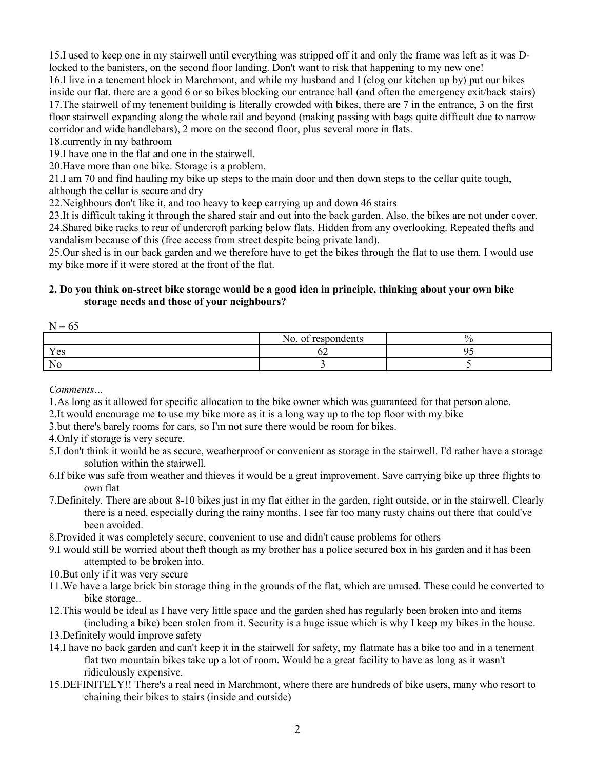15.I used to keep one in my stairwell until everything was stripped off it and only the frame was left as it was Dlocked to the banisters, on the second floor landing. Don't want to risk that happening to my new one! 16.I live in a tenement block in Marchmont, and while my husband and I (clog our kitchen up by) put our bikes inside our flat, there are a good 6 or so bikes blocking our entrance hall (and often the emergency exit/back stairs) 17.The stairwell of my tenement building is literally crowded with bikes, there are 7 in the entrance, 3 on the first floor stairwell expanding along the whole rail and beyond (making passing with bags quite difficult due to narrow corridor and wide handlebars), 2 more on the second floor, plus several more in flats.

18.currently in my bathroom

19.I have one in the flat and one in the stairwell.

20.Have more than one bike. Storage is a problem.

21.I am 70 and find hauling my bike up steps to the main door and then down steps to the cellar quite tough,

although the cellar is secure and dry

22.Neighbours don't like it, and too heavy to keep carrying up and down 46 stairs

23.It is difficult taking it through the shared stair and out into the back garden. Also, the bikes are not under cover. 24.Shared bike racks to rear of undercroft parking below flats. Hidden from any overlooking. Repeated thefts and vandalism because of this (free access from street despite being private land).

25.Our shed is in our back garden and we therefore have to get the bikes through the flat to use them. I would use my bike more if it were stored at the front of the flat.

# **2. Do you think on-street bike storage would be a good idea in principle, thinking about your own bike storage needs and those of your neighbours?**

|                       | . .<br>rocnondonta<br>NO.<br>$\sim$<br>uviits<br><u>vi</u><br>$\sim$ | $\Omega$ |
|-----------------------|----------------------------------------------------------------------|----------|
| $V_{\alpha}$<br>1 C D | ◡▵                                                                   | $\sim$   |
| Nc                    |                                                                      |          |

*Comments…*

1.As long as it allowed for specific allocation to the bike owner which was guaranteed for that person alone.

2.It would encourage me to use my bike more as it is a long way up to the top floor with my bike

3.but there's barely rooms for cars, so I'm not sure there would be room for bikes.

4.Only if storage is very secure.

5.I don't think it would be as secure, weatherproof or convenient as storage in the stairwell. I'd rather have a storage solution within the stairwell.

6.If bike was safe from weather and thieves it would be a great improvement. Save carrying bike up three flights to own flat

7.Definitely. There are about 8-10 bikes just in my flat either in the garden, right outside, or in the stairwell. Clearly there is a need, especially during the rainy months. I see far too many rusty chains out there that could've been avoided.

8.Provided it was completely secure, convenient to use and didn't cause problems for others

- 9.I would still be worried about theft though as my brother has a police secured box in his garden and it has been attempted to be broken into.
- 10.But only if it was very secure
- 11.We have a large brick bin storage thing in the grounds of the flat, which are unused. These could be converted to bike storage..
- 12.This would be ideal as I have very little space and the garden shed has regularly been broken into and items (including a bike) been stolen from it. Security is a huge issue which is why I keep my bikes in the house.

13.Definitely would improve safety

- 14.I have no back garden and can't keep it in the stairwell for safety, my flatmate has a bike too and in a tenement flat two mountain bikes take up a lot of room. Would be a great facility to have as long as it wasn't ridiculously expensive.
- 15.DEFINITELY!! There's a real need in Marchmont, where there are hundreds of bike users, many who resort to chaining their bikes to stairs (inside and outside)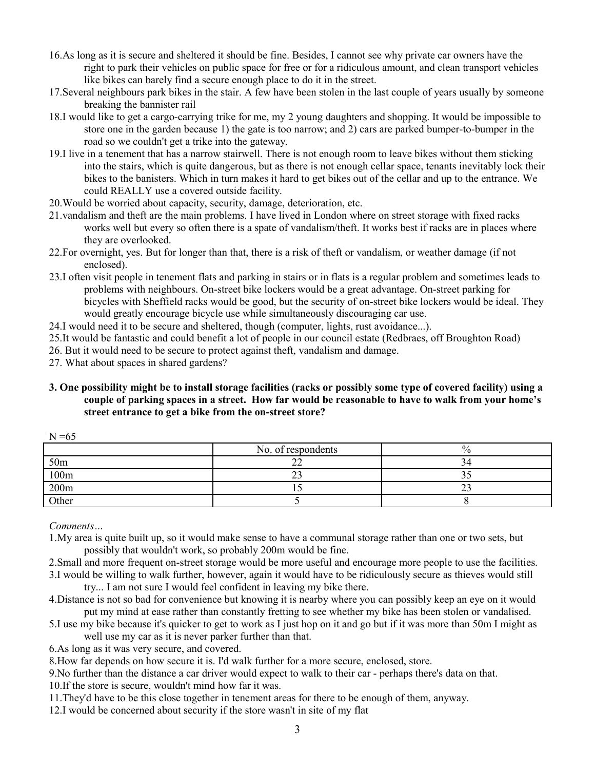- 16.As long as it is secure and sheltered it should be fine. Besides, I cannot see why private car owners have the right to park their vehicles on public space for free or for a ridiculous amount, and clean transport vehicles like bikes can barely find a secure enough place to do it in the street.
- 17.Several neighbours park bikes in the stair. A few have been stolen in the last couple of years usually by someone breaking the bannister rail
- 18.I would like to get a cargo-carrying trike for me, my 2 young daughters and shopping. It would be impossible to store one in the garden because 1) the gate is too narrow; and 2) cars are parked bumper-to-bumper in the road so we couldn't get a trike into the gateway.
- 19.I live in a tenement that has a narrow stairwell. There is not enough room to leave bikes without them sticking into the stairs, which is quite dangerous, but as there is not enough cellar space, tenants inevitably lock their bikes to the banisters. Which in turn makes it hard to get bikes out of the cellar and up to the entrance. We could REALLY use a covered outside facility.
- 20.Would be worried about capacity, security, damage, deterioration, etc.
- 21.vandalism and theft are the main problems. I have lived in London where on street storage with fixed racks works well but every so often there is a spate of vandalism/theft. It works best if racks are in places where they are overlooked.
- 22.For overnight, yes. But for longer than that, there is a risk of theft or vandalism, or weather damage (if not enclosed).
- 23.I often visit people in tenement flats and parking in stairs or in flats is a regular problem and sometimes leads to problems with neighbours. On-street bike lockers would be a great advantage. On-street parking for bicycles with Sheffield racks would be good, but the security of on-street bike lockers would be ideal. They would greatly encourage bicycle use while simultaneously discouraging car use.
- 24.I would need it to be secure and sheltered, though (computer, lights, rust avoidance...).

25.It would be fantastic and could benefit a lot of people in our council estate (Redbraes, off Broughton Road)

26. But it would need to be secure to protect against theft, vandalism and damage.

27. What about spaces in shared gardens?

**3. One possibility might be to install storage facilities (racks or possibly some type of covered facility) using a couple of parking spaces in a street. How far would be reasonable to have to walk from your home's street entrance to get a bike from the on-street store?**

| $\cdots$        |                    |      |
|-----------------|--------------------|------|
|                 | No. of respondents | $\%$ |
| 50 <sub>m</sub> |                    |      |
| 100m            |                    |      |
| 200m            |                    |      |
| Other           |                    |      |

*Comments…*

 $N = 65$ 

1.My area is quite built up, so it would make sense to have a communal storage rather than one or two sets, but possibly that wouldn't work, so probably 200m would be fine.

- 2.Small and more frequent on-street storage would be more useful and encourage more people to use the facilities.
- 3.I would be willing to walk further, however, again it would have to be ridiculously secure as thieves would still try... I am not sure I would feel confident in leaving my bike there.
- 4.Distance is not so bad for convenience but knowing it is nearby where you can possibly keep an eye on it would put my mind at ease rather than constantly fretting to see whether my bike has been stolen or vandalised.
- 5.I use my bike because it's quicker to get to work as I just hop on it and go but if it was more than 50m I might as well use my car as it is never parker further than that.
- 6.As long as it was very secure, and covered.
- 8.How far depends on how secure it is. I'd walk further for a more secure, enclosed, store.

9.No further than the distance a car driver would expect to walk to their car - perhaps there's data on that. 10.If the store is secure, wouldn't mind how far it was.

11.They'd have to be this close together in tenement areas for there to be enough of them, anyway.

12.I would be concerned about security if the store wasn't in site of my flat

3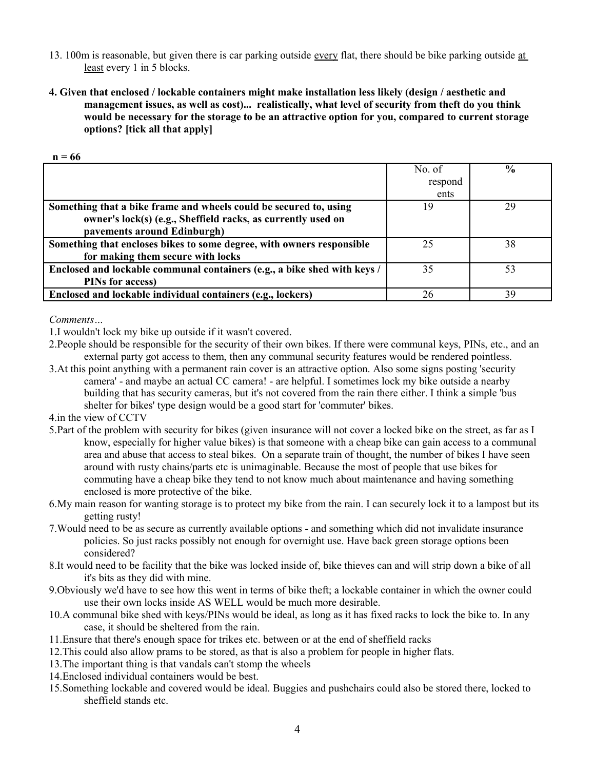- 13. 100m is reasonable, but given there is car parking outside every flat, there should be bike parking outside at least every 1 in 5 blocks.
- **4. Given that enclosed / lockable containers might make installation less likely (design / aesthetic and management issues, as well as cost)... realistically, what level of security from theft do you think would be necessary for the storage to be an attractive option for you, compared to current storage options? [tick all that apply]**

|  | ٠<br>I |  |
|--|--------|--|
|  |        |  |

|                                                                          | No. of  | $\frac{6}{9}$ |
|--------------------------------------------------------------------------|---------|---------------|
|                                                                          | respond |               |
|                                                                          | ents    |               |
| Something that a bike frame and wheels could be secured to, using        | 19      | 29            |
| owner's lock(s) (e.g., Sheffield racks, as currently used on             |         |               |
| pavements around Edinburgh)                                              |         |               |
| Something that encloses bikes to some degree, with owners responsible    | 25      | 38            |
| for making them secure with locks                                        |         |               |
| Enclosed and lockable communal containers (e.g., a bike shed with keys / | 35      | 53            |
| PINs for access)                                                         |         |               |
| Enclosed and lockable individual containers (e.g., lockers)              | 26      | 39            |

*Comments…*

1.I wouldn't lock my bike up outside if it wasn't covered.

- 2.People should be responsible for the security of their own bikes. If there were communal keys, PINs, etc., and an external party got access to them, then any communal security features would be rendered pointless.
- 3.At this point anything with a permanent rain cover is an attractive option. Also some signs posting 'security camera' - and maybe an actual CC camera! - are helpful. I sometimes lock my bike outside a nearby building that has security cameras, but it's not covered from the rain there either. I think a simple 'bus shelter for bikes' type design would be a good start for 'commuter' bikes.
- 4.in the view of CCTV
- 5.Part of the problem with security for bikes (given insurance will not cover a locked bike on the street, as far as I know, especially for higher value bikes) is that someone with a cheap bike can gain access to a communal area and abuse that access to steal bikes. On a separate train of thought, the number of bikes I have seen around with rusty chains/parts etc is unimaginable. Because the most of people that use bikes for commuting have a cheap bike they tend to not know much about maintenance and having something enclosed is more protective of the bike.
- 6.My main reason for wanting storage is to protect my bike from the rain. I can securely lock it to a lampost but its getting rusty!
- 7.Would need to be as secure as currently available options and something which did not invalidate insurance policies. So just racks possibly not enough for overnight use. Have back green storage options been considered?
- 8.It would need to be facility that the bike was locked inside of, bike thieves can and will strip down a bike of all it's bits as they did with mine.
- 9.Obviously we'd have to see how this went in terms of bike theft; a lockable container in which the owner could use their own locks inside AS WELL would be much more desirable.
- 10.A communal bike shed with keys/PINs would be ideal, as long as it has fixed racks to lock the bike to. In any case, it should be sheltered from the rain.
- 11.Ensure that there's enough space for trikes etc. between or at the end of sheffield racks
- 12.This could also allow prams to be stored, as that is also a problem for people in higher flats.
- 13.The important thing is that vandals can't stomp the wheels
- 14.Enclosed individual containers would be best.
- 15.Something lockable and covered would be ideal. Buggies and pushchairs could also be stored there, locked to sheffield stands etc.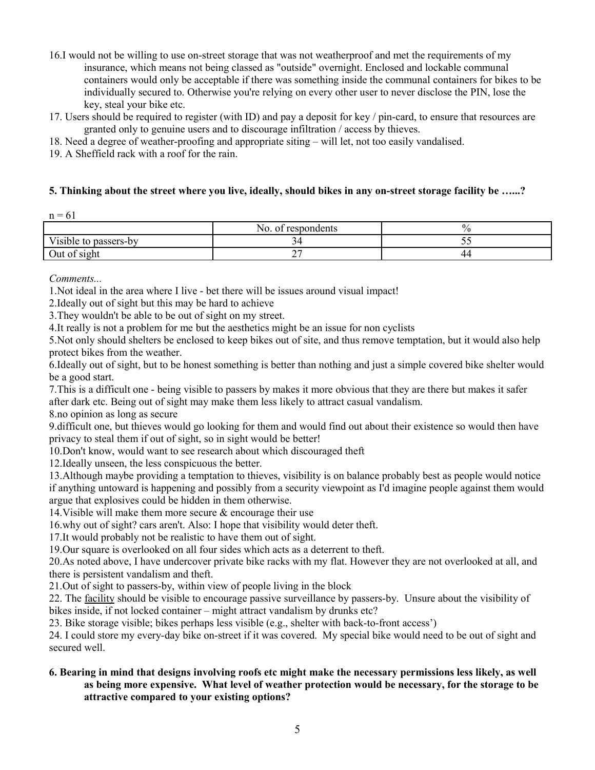- 16.I would not be willing to use on-street storage that was not weatherproof and met the requirements of my insurance, which means not being classed as "outside" overnight. Enclosed and lockable communal containers would only be acceptable if there was something inside the communal containers for bikes to be individually secured to. Otherwise you're relying on every other user to never disclose the PIN, lose the key, steal your bike etc.
- 17. Users should be required to register (with ID) and pay a deposit for key / pin-card, to ensure that resources are granted only to genuine users and to discourage infiltration / access by thieves.
- 18. Need a degree of weather-proofing and appropriate siting will let, not too easily vandalised.
- 19. A Sheffield rack with a roof for the rain.

## **5. Thinking about the street where you live, ideally, should bikes in any on-street storage facility be …...?**

|                          | respondents<br>-OI<br>NO. | ∕ ()                         |
|--------------------------|---------------------------|------------------------------|
| Visible to<br>passers-by | ╯                         | - -<br>$\tilde{\phantom{a}}$ |
| Out of sight             | ∼                         | 44                           |

*Comments...*

1.Not ideal in the area where I live - bet there will be issues around visual impact!

2.Ideally out of sight but this may be hard to achieve

3.They wouldn't be able to be out of sight on my street.

4.It really is not a problem for me but the aesthetics might be an issue for non cyclists

5.Not only should shelters be enclosed to keep bikes out of site, and thus remove temptation, but it would also help protect bikes from the weather.

6.Ideally out of sight, but to be honest something is better than nothing and just a simple covered bike shelter would be a good start.

7.This is a difficult one - being visible to passers by makes it more obvious that they are there but makes it safer after dark etc. Being out of sight may make them less likely to attract casual vandalism.

8.no opinion as long as secure

9.difficult one, but thieves would go looking for them and would find out about their existence so would then have privacy to steal them if out of sight, so in sight would be better!

10.Don't know, would want to see research about which discouraged theft

12.Ideally unseen, the less conspicuous the better.

13.Although maybe providing a temptation to thieves, visibility is on balance probably best as people would notice if anything untoward is happening and possibly from a security viewpoint as I'd imagine people against them would argue that explosives could be hidden in them otherwise.

14.Visible will make them more secure & encourage their use

16.why out of sight? cars aren't. Also: I hope that visibility would deter theft.

17.It would probably not be realistic to have them out of sight.

19.Our square is overlooked on all four sides which acts as a deterrent to theft.

20.As noted above, I have undercover private bike racks with my flat. However they are not overlooked at all, and there is persistent vandalism and theft.

21.Out of sight to passers-by, within view of people living in the block

22. The facility should be visible to encourage passive surveillance by passers-by. Unsure about the visibility of bikes inside, if not locked container – might attract vandalism by drunks etc?

23. Bike storage visible; bikes perhaps less visible (e.g., shelter with back-to-front access')

24. I could store my every-day bike on-street if it was covered. My special bike would need to be out of sight and secured well.

# **6. Bearing in mind that designs involving roofs etc might make the necessary permissions less likely, as well as being more expensive. What level of weather protection would be necessary, for the storage to be attractive compared to your existing options?**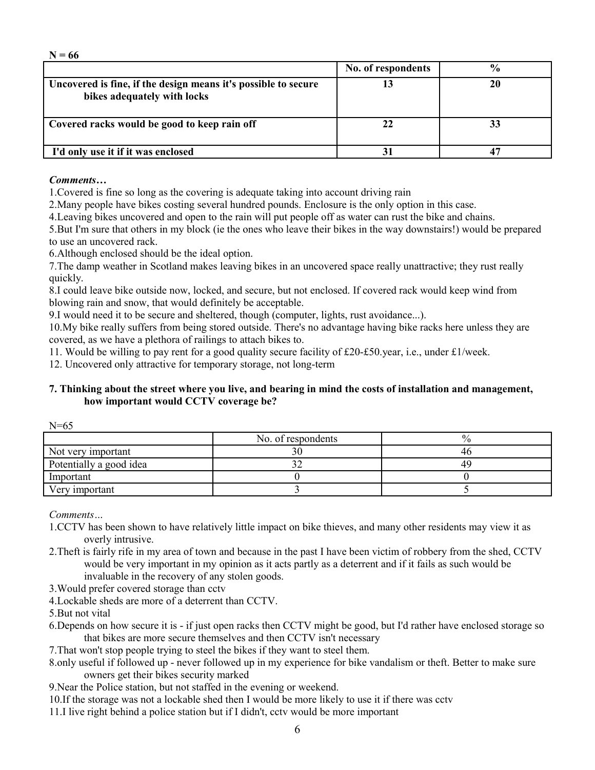| ,,,,,                                                                                         |                    |               |
|-----------------------------------------------------------------------------------------------|--------------------|---------------|
|                                                                                               | No. of respondents | $\frac{0}{0}$ |
| Uncovered is fine, if the design means it's possible to secure<br>bikes adequately with locks |                    |               |
| Covered racks would be good to keep rain off                                                  |                    |               |
| I'd only use it if it was enclosed                                                            |                    |               |

## *Comments…*

**N = 66**

1.Covered is fine so long as the covering is adequate taking into account driving rain

2.Many people have bikes costing several hundred pounds. Enclosure is the only option in this case.

4.Leaving bikes uncovered and open to the rain will put people off as water can rust the bike and chains.

5.But I'm sure that others in my block (ie the ones who leave their bikes in the way downstairs!) would be prepared to use an uncovered rack.

6.Although enclosed should be the ideal option.

7.The damp weather in Scotland makes leaving bikes in an uncovered space really unattractive; they rust really quickly.

8.I could leave bike outside now, locked, and secure, but not enclosed. If covered rack would keep wind from blowing rain and snow, that would definitely be acceptable.

9.I would need it to be secure and sheltered, though (computer, lights, rust avoidance...).

10.My bike really suffers from being stored outside. There's no advantage having bike racks here unless they are covered, as we have a plethora of railings to attach bikes to.

11. Would be willing to pay rent for a good quality secure facility of £20-£50.year, i.e., under £1/week.

12. Uncovered only attractive for temporary storage, not long-term

# **7. Thinking about the street where you live, and bearing in mind the costs of installation and management, how important would CCTV coverage be?**

|                         | No. of respondents | $\frac{0}{0}$ |
|-------------------------|--------------------|---------------|
| Not very important      |                    | 4ľ            |
| Potentially a good idea |                    | 4¢            |
| Important               |                    |               |
| Very important          |                    |               |

*Comments…*

1.CCTV has been shown to have relatively little impact on bike thieves, and many other residents may view it as overly intrusive.

2.Theft is fairly rife in my area of town and because in the past I have been victim of robbery from the shed, CCTV would be very important in my opinion as it acts partly as a deterrent and if it fails as such would be invaluable in the recovery of any stolen goods.

3.Would prefer covered storage than cctv

4.Lockable sheds are more of a deterrent than CCTV.

5.But not vital

6.Depends on how secure it is - if just open racks then CCTV might be good, but I'd rather have enclosed storage so that bikes are more secure themselves and then CCTV isn't necessary

7.That won't stop people trying to steel the bikes if they want to steel them.

- 8.only useful if followed up never followed up in my experience for bike vandalism or theft. Better to make sure owners get their bikes security marked
- 9.Near the Police station, but not staffed in the evening or weekend.
- 10.If the storage was not a lockable shed then I would be more likely to use it if there was cctv
- 11.I live right behind a police station but if I didn't, cctv would be more important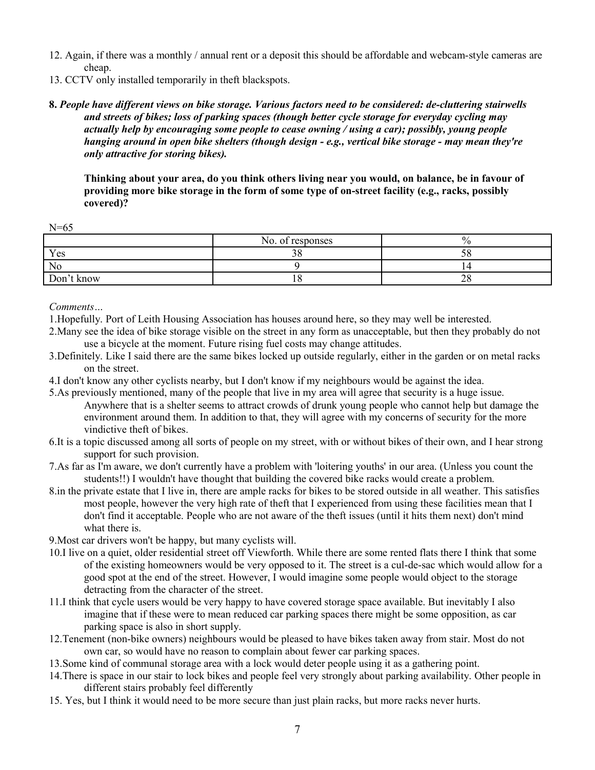- 12. Again, if there was a monthly / annual rent or a deposit this should be affordable and webcam-style cameras are cheap.
- 13. CCTV only installed temporarily in theft blackspots.
- **8.** *People have different views on bike storage. Various factors need to be considered: de-cluttering stairwells and streets of bikes; loss of parking spaces (though better cycle storage for everyday cycling may actually help by encouraging some people to cease owning / using a car); possibly, young people hanging around in open bike shelters (though design - e.g., vertical bike storage - may mean they're only attractive for storing bikes).*

**Thinking about your area, do you think others living near you would, on balance, be in favour of providing more bike storage in the form of some type of on-street facility (e.g., racks, possibly covered)?**

N=65

|            | No. of responses |          |
|------------|------------------|----------|
| Yes        | $\sim$ $\sim$    | 20       |
| No         |                  |          |
| Don't know |                  | ⌒⌒<br>40 |

*Comments…*

- 1.Hopefully. Port of Leith Housing Association has houses around here, so they may well be interested.
- 2.Many see the idea of bike storage visible on the street in any form as unacceptable, but then they probably do not use a bicycle at the moment. Future rising fuel costs may change attitudes.
- 3.Definitely. Like I said there are the same bikes locked up outside regularly, either in the garden or on metal racks on the street.
- 4.I don't know any other cyclists nearby, but I don't know if my neighbours would be against the idea.
- 5.As previously mentioned, many of the people that live in my area will agree that security is a huge issue. Anywhere that is a shelter seems to attract crowds of drunk young people who cannot help but damage the environment around them. In addition to that, they will agree with my concerns of security for the more vindictive theft of bikes.
- 6.It is a topic discussed among all sorts of people on my street, with or without bikes of their own, and I hear strong support for such provision.
- 7.As far as I'm aware, we don't currently have a problem with 'loitering youths' in our area. (Unless you count the students!!) I wouldn't have thought that building the covered bike racks would create a problem.
- 8.in the private estate that I live in, there are ample racks for bikes to be stored outside in all weather. This satisfies most people, however the very high rate of theft that I experienced from using these facilities mean that I don't find it acceptable. People who are not aware of the theft issues (until it hits them next) don't mind what there is.

9.Most car drivers won't be happy, but many cyclists will.

- 10.I live on a quiet, older residential street off Viewforth. While there are some rented flats there I think that some of the existing homeowners would be very opposed to it. The street is a cul-de-sac which would allow for a good spot at the end of the street. However, I would imagine some people would object to the storage detracting from the character of the street.
- 11.I think that cycle users would be very happy to have covered storage space available. But inevitably I also imagine that if these were to mean reduced car parking spaces there might be some opposition, as car parking space is also in short supply.
- 12.Tenement (non-bike owners) neighbours would be pleased to have bikes taken away from stair. Most do not own car, so would have no reason to complain about fewer car parking spaces.
- 13.Some kind of communal storage area with a lock would deter people using it as a gathering point.
- 14.There is space in our stair to lock bikes and people feel very strongly about parking availability. Other people in different stairs probably feel differently
- 15. Yes, but I think it would need to be more secure than just plain racks, but more racks never hurts.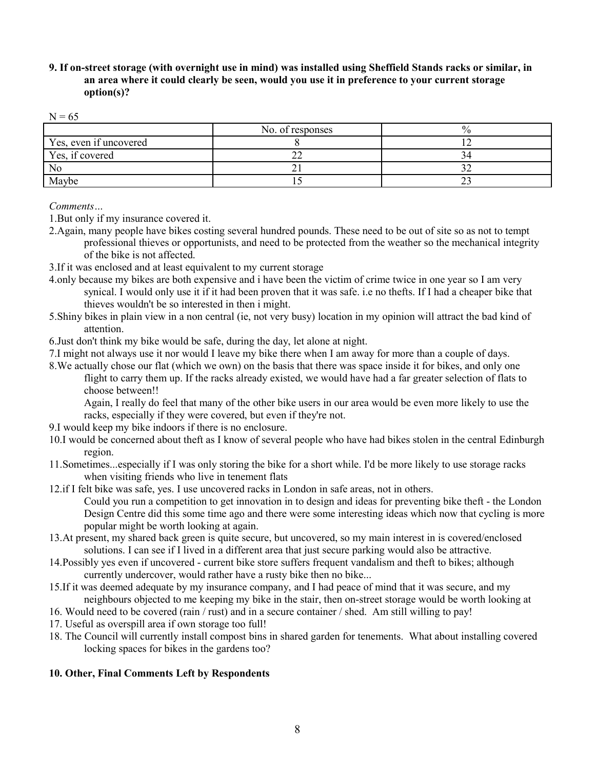# **9. If on-street storage (with overnight use in mind) was installed using Sheffield Stands racks or similar, in an area where it could clearly be seen, would you use it in preference to your current storage option(s)?**

| ___<br>v<br>۰.<br>۰.<br>v |  |
|---------------------------|--|
|---------------------------|--|

|                        | No. of responses |  |
|------------------------|------------------|--|
| Yes, even if uncovered |                  |  |
| Yes, if covered        |                  |  |
| N <sub>0</sub>         |                  |  |
| Maybe                  |                  |  |

*Comments…*

1.But only if my insurance covered it.

- 2.Again, many people have bikes costing several hundred pounds. These need to be out of site so as not to tempt professional thieves or opportunists, and need to be protected from the weather so the mechanical integrity of the bike is not affected.
- 3.If it was enclosed and at least equivalent to my current storage
- 4.only because my bikes are both expensive and i have been the victim of crime twice in one year so I am very synical. I would only use it if it had been proven that it was safe. i.e no thefts. If I had a cheaper bike that thieves wouldn't be so interested in then i might.
- 5.Shiny bikes in plain view in a non central (ie, not very busy) location in my opinion will attract the bad kind of attention.
- 6.Just don't think my bike would be safe, during the day, let alone at night.
- 7.I might not always use it nor would I leave my bike there when I am away for more than a couple of days.
- 8.We actually chose our flat (which we own) on the basis that there was space inside it for bikes, and only one flight to carry them up. If the racks already existed, we would have had a far greater selection of flats to choose between!!

Again, I really do feel that many of the other bike users in our area would be even more likely to use the racks, especially if they were covered, but even if they're not.

- 9.I would keep my bike indoors if there is no enclosure.
- 10.I would be concerned about theft as I know of several people who have had bikes stolen in the central Edinburgh region.
- 11.Sometimes...especially if I was only storing the bike for a short while. I'd be more likely to use storage racks when visiting friends who live in tenement flats
- 12.if I felt bike was safe, yes. I use uncovered racks in London in safe areas, not in others.
	- Could you run a competition to get innovation in to design and ideas for preventing bike theft the London Design Centre did this some time ago and there were some interesting ideas which now that cycling is more popular might be worth looking at again.
- 13.At present, my shared back green is quite secure, but uncovered, so my main interest in is covered/enclosed solutions. I can see if I lived in a different area that just secure parking would also be attractive.
- 14.Possibly yes even if uncovered current bike store suffers frequent vandalism and theft to bikes; although currently undercover, would rather have a rusty bike then no bike...
- 15.If it was deemed adequate by my insurance company, and I had peace of mind that it was secure, and my neighbours objected to me keeping my bike in the stair, then on-street storage would be worth looking at
- 16. Would need to be covered (rain / rust) and in a secure container / shed. Am still willing to pay!
- 17. Useful as overspill area if own storage too full!
- 18. The Council will currently install compost bins in shared garden for tenements. What about installing covered locking spaces for bikes in the gardens too?

# **10. Other, Final Comments Left by Respondents**